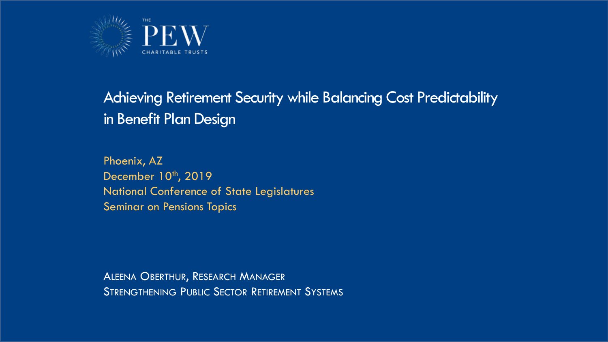

#### Achieving Retirement Security while Balancing Cost Predictability in Benefit Plan Design

Phoenix, AZ December 10<sup>th</sup>, 2019 National Conference of State Legislatures Seminar on Pensions Topics

ALEENA OBERTHUR, RESEARCH MANAGER **STRENGTHENING PUBLIC SECTOR RETIREMENT SYSTEMS**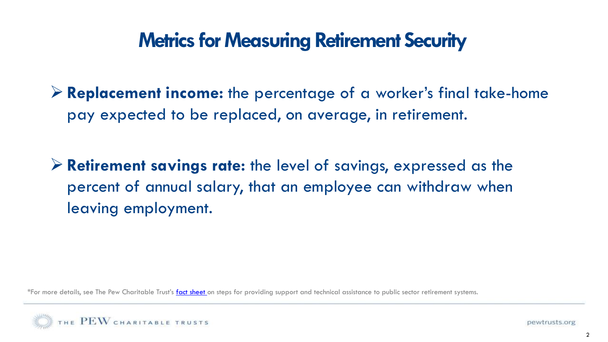# **Metrics for Measuring Retirement Security**

➢ **Replacement income:** the percentage of a worker's final take-home pay expected to be replaced, on average, in retirement.

➢ **Retirement savings rate:** the level of savings, expressed as the percent of annual salary, that an employee can withdraw when leaving employment.

\*For more details, see The Pew Charitable Trust's [fact sheet](https://www.pewtrusts.org/en/research-and-analysis/fact-sheets/2017/03/providing-support-for-public-sector-retirement-systems) on steps for providing support and technical assistance to public sector retirement systems.

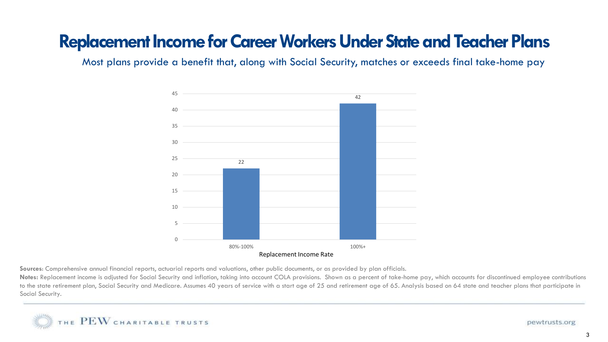### **Replacement Income for Career Workers Under State and Teacher Plans**

Most plans provide a benefit that, along with Social Security, matches or exceeds final take-home pay



**Sources**: Comprehensive annual financial reports, actuarial reports and valuations, other public documents, or as provided by plan officials.

Notes: Replacement income is adjusted for Social Security and inflation, taking into account COLA provisions. Shown as a percent of take-home pay, which accounts for discontinued employee contributions to the state retirement plan, Social Security and Medicare. Assumes 40 years of service with a start age of 25 and retirement age of 65. Analysis based on 64 state and teacher plans that participate in Social Security.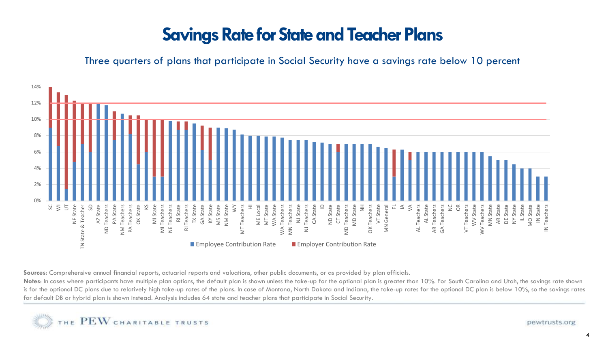# **Savings Rate for State and Teacher Plans**

Three quarters of plans that participate in Social Security have a savings rate below 10 percent



Sources: Comprehensive annual financial reports, actuarial reports and valuations, other public documents, or as provided by plan officials.

Notes: In cases where participants have multiple plan options, the default plan is shown unless the take-up for the optional plan is greater than 10%. For South Carolina and Utah, the savings rate shown is for the optional DC plans due to relatively high take-up rates of the plans. In case of Montana, North Dakota and Indiana, the take-up rates for the optional DC plan is below 10%, so the savings rates for default DB or hybrid plan is shown instead. Analysis includes 64 state and teacher plans that participate in Social Security.

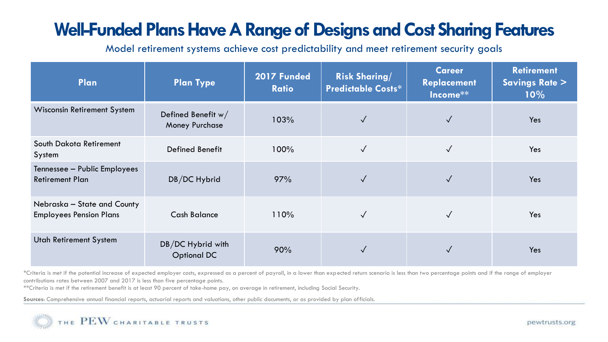# **Well-Funded Plans Have A Range of Designs and Cost Sharing Features**

Model retirement systems achieve cost predictability and meet retirement security goals

| Plan                                                          | <b>Plan Type</b>                              | 2017 Funded<br><b>Ratio</b> | <b>Risk Sharing/</b><br><b>Predictable Costs*</b> | <b>Career</b><br><b>Replacement</b><br>Income <sup>**</sup> | <b>Retirement</b><br><b>Savings Rate &gt;</b><br>$10\%$ |
|---------------------------------------------------------------|-----------------------------------------------|-----------------------------|---------------------------------------------------|-------------------------------------------------------------|---------------------------------------------------------|
| <b>Wisconsin Retirement System</b>                            | Defined Benefit $w/$<br><b>Money Purchase</b> | 103%                        | $\checkmark$                                      | $\sqrt{}$                                                   | Yes                                                     |
| South Dakota Retirement<br>System                             | Defined Benefit                               | 100%                        | $\checkmark$                                      | $\sqrt{}$                                                   | Yes                                                     |
| Tennessee - Public Employees<br><b>Retirement Plan</b>        | DB/DC Hybrid                                  | 97%                         | $\checkmark$                                      |                                                             | Yes                                                     |
| Nebraska - State and County<br><b>Employees Pension Plans</b> | <b>Cash Balance</b>                           | 110%                        | $\sqrt{}$                                         |                                                             | Yes                                                     |
| <b>Utah Retirement System</b>                                 | DB/DC Hybrid with<br><b>Optional DC</b>       | 90%                         |                                                   |                                                             | Yes                                                     |

\*Criteria is met if the potential increase of expected employer costs, expressed as a percent of payroll, in a lower than expected return scenario is less than two percentage points and if the range of employer contributions rates between 2007 and 2017 is less than five percentage points.

\*\*Criteria is met if the retirement benefit is at least 90 percent of take-home pay, on average in retirement, including Social Security.

**Sources**: Comprehensive annual financial reports, actuarial reports and valuations, other public documents, or as provided by plan officials.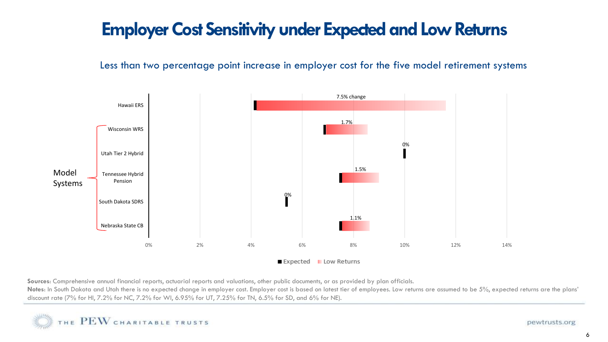### **Employer Cost Sensitivity under Expected and Low Returns**

Less than two percentage point increase in employer cost for the five model retirement systems



**Sources**: Comprehensive annual financial reports, actuarial reports and valuations, other public documents, or as provided by plan officials.

Notes: In South Dakota and Utah there is no expected change in employer cost. Employer cost is based on latest tier of employees. Low returns are assumed to be 5%, expected returns are the plans' discount rate (7% for HI, 7.2% for NC, 7.2% for WI, 6.95% for UT, 7.25% for TN, 6.5% for SD, and 6% for NE).

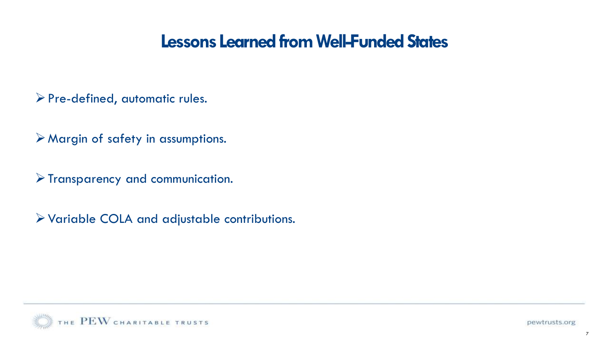#### **Lessons Learned from Well-Funded States**

➢Pre-defined, automatic rules.

➢Margin of safety in assumptions.

➢Transparency and communication.

➢Variable COLA and adjustable contributions.